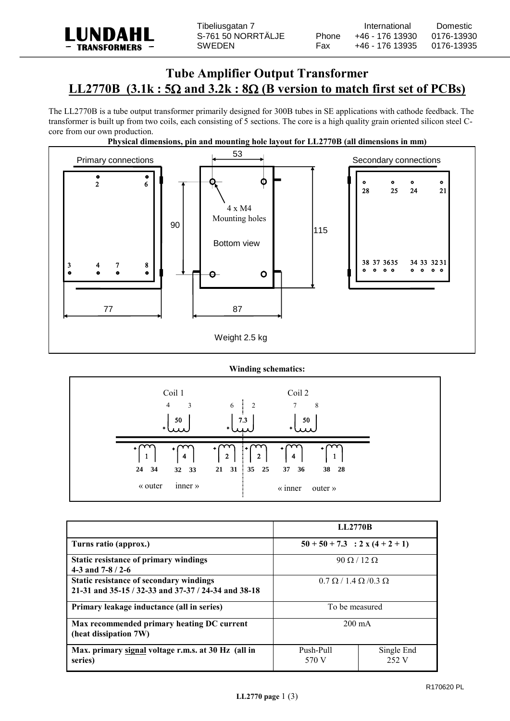

# **Tube Amplifier Output Transformer LL2770B**  $(3.1k : 5\Omega$  and  $3.2k : 8\Omega$  (B version to match first set of PCBs)

The LL2770B is a tube output transformer primarily designed for 300B tubes in SE applications with cathode feedback. The transformer is built up from two coils, each consisting of 5 sections. The core is a high quality grain oriented silicon steel Ccore from our own production.



### **Physical dimensions, pin and mounting hole layout for LL2770B (all dimensions in mm)**

## **Winding schematics:**



|                                                                                                | <b>LL2770B</b>                         |                     |
|------------------------------------------------------------------------------------------------|----------------------------------------|---------------------|
| Turns ratio (approx.)                                                                          | $50 + 50 + 7.3$ : 2 x (4 + 2 + 1)      |                     |
| Static resistance of primary windings<br>4-3 and $7-8/2-6$                                     | $90 \Omega / 12 \Omega$                |                     |
| Static resistance of secondary windings<br>21-31 and 35-15 / 32-33 and 37-37 / 24-34 and 38-18 | $0.7 \Omega / 1.4 \Omega / 0.3 \Omega$ |                     |
| Primary leakage inductance (all in series)                                                     | To be measured                         |                     |
| Max recommended primary heating DC current<br>(heat dissipation 7W)                            | $200 \text{ mA}$                       |                     |
| Max. primary signal voltage r.m.s. at 30 Hz (all in<br>series)                                 | Push-Pull<br>570 V                     | Single End<br>252 V |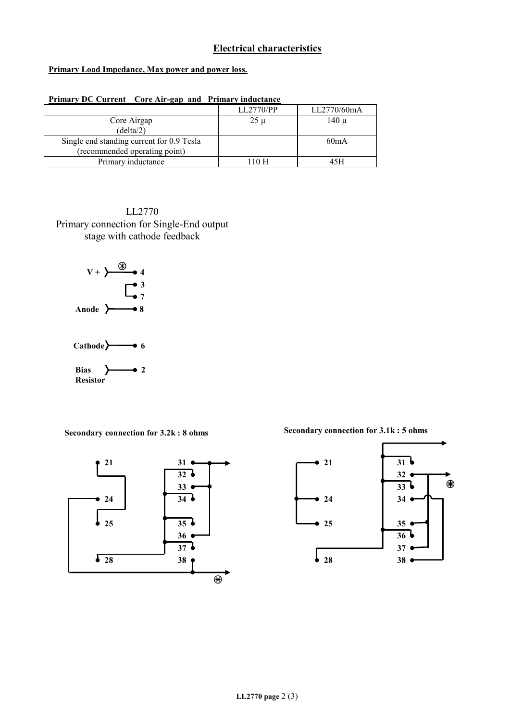# **Electrical characteristics**

### **Primary Load Impedance, Max power and power loss.**

| Primary DC Current Core Air-gap and Primary inductance |           |             |  |
|--------------------------------------------------------|-----------|-------------|--|
|                                                        | LL2770/PP | LL2770/60mA |  |
| Core Airgap                                            | $25 \mu$  | 140 µ       |  |
| (delta/2)                                              |           |             |  |
| Single end standing current for 0.9 Tesla              |           | 60mA        |  |
| (recommended operating point)                          |           |             |  |
| Primary inductance                                     | 110 H     | 45H         |  |

LL2770 Primary connection for Single-End output stage with cathode feedback





**Secondary connection for 3.2k : 8 ohms Secondary connection for 3.1k : 5 ohms**